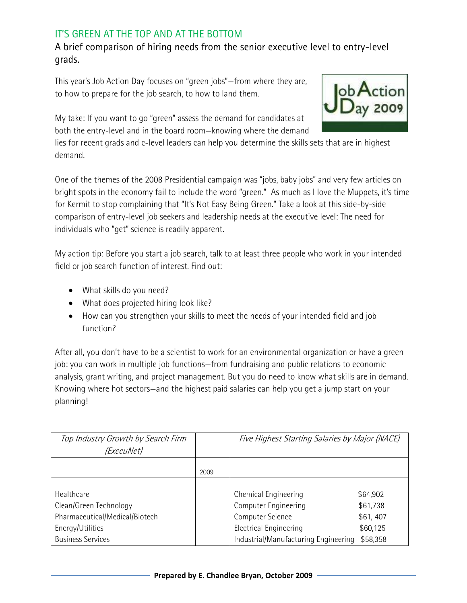## IT'S GREEN AT THE TOP AND AT THE BOTTOM

## A brief comparison of hiring needs from the senior executive level to entry-level grads.

This year's Job Action Day focuses on "green jobs"—from where they are, to how to prepare for the job search, to how to land them.

My take: If you want to go "green" assess the demand for candidates at both the entry-level and in the board room—knowing where the demand

lies for recent grads and c-level leaders can help you determine the skills sets that are in highest demand.

One of the themes of the 2008 Presidential campaign was "jobs, baby jobs" and very few articles on bright spots in the economy fail to include the word "green." As much as I love the Muppets, it's time for Kermit to stop complaining that "It's Not Easy Being Green." Take a look at this side-by-side comparison of entry-level job seekers and leadership needs at the executive level: The need for individuals who "get" science is readily apparent.

My action tip: Before you start a job search, talk to at least three people who work in your intended field or job search function of interest. Find out:

- What skills do you need?
- What does projected hiring look like?
- How can you strengthen your skills to meet the needs of your intended field and job function?

After all, you don't have to be a scientist to work for an environmental organization or have a green job: you can work in multiple job functions—from fundraising and public relations to economic analysis, grant writing, and project management. But you do need to know what skills are in demand. Knowing where hot sectors—and the highest paid salaries can help you get a jump start on your planning!

| Top Industry Growth by Search Firm |      | Five Highest Starting Salaries by Major (NACE) |          |
|------------------------------------|------|------------------------------------------------|----------|
| (ExecuNet)                         |      |                                                |          |
|                                    |      |                                                |          |
|                                    | 2009 |                                                |          |
|                                    |      |                                                |          |
| Healthcare                         |      | Chemical Engineering                           | \$64,902 |
| Clean/Green Technology             |      | Computer Engineering                           | \$61,738 |
| Pharmaceutical/Medical/Biotech     |      | Computer Science                               | \$61,407 |
| Energy/Utilities                   |      | <b>Electrical Engineering</b>                  | \$60,125 |
| <b>Business Services</b>           |      | Industrial/Manufacturing Engineering           | \$58,358 |